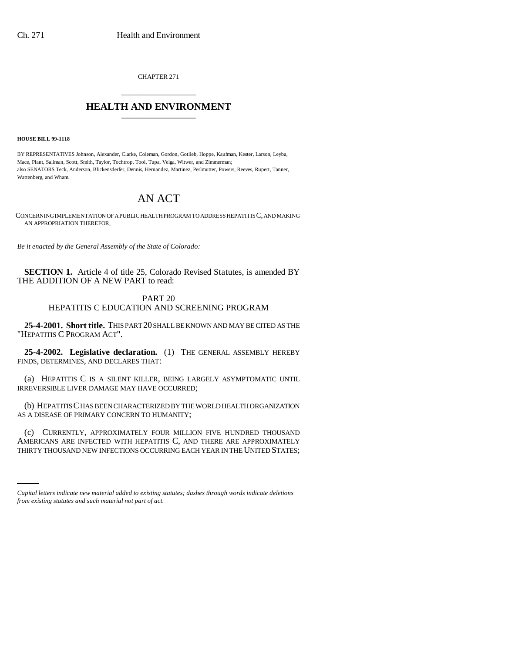CHAPTER 271 \_\_\_\_\_\_\_\_\_\_\_\_\_\_\_

## **HEALTH AND ENVIRONMENT** \_\_\_\_\_\_\_\_\_\_\_\_\_\_\_

**HOUSE BILL 99-1118** 

BY REPRESENTATIVES Johnson, Alexander, Clarke, Coleman, Gordon, Gotlieb, Hoppe, Kaufman, Kester, Larson, Leyba, Mace, Plant, Saliman, Scott, Smith, Taylor, Tochtrop, Tool, Tupa, Veiga, Witwer, and Zimmerman; also SENATORS Teck, Anderson, Blickensderfer, Dennis, Hernandez, Martinez, Perlmutter, Powers, Reeves, Rupert, Tanner, Wattenberg, and Wham.

## AN ACT

CONCERNING IMPLEMENTATION OF A PUBLIC HEALTH PROGRAM TO ADDRESS HEPATITIS C, AND MAKING AN APPROPRIATION THEREFOR.

*Be it enacted by the General Assembly of the State of Colorado:*

**SECTION 1.** Article 4 of title 25, Colorado Revised Statutes, is amended BY THE ADDITION OF A NEW PART to read:

## PART 20 HEPATITIS C EDUCATION AND SCREENING PROGRAM

**25-4-2001. Short title.** THIS PART 20 SHALL BE KNOWN AND MAY BE CITED AS THE "HEPATITIS C PROGRAM ACT".

**25-4-2002. Legislative declaration.** (1) THE GENERAL ASSEMBLY HEREBY FINDS, DETERMINES, AND DECLARES THAT:

(a) HEPATITIS C IS A SILENT KILLER, BEING LARGELY ASYMPTOMATIC UNTIL IRREVERSIBLE LIVER DAMAGE MAY HAVE OCCURRED;

(b) HEPATITIS C HAS BEEN CHARACTERIZED BY THE WORLD HEALTH ORGANIZATION AS A DISEASE OF PRIMARY CONCERN TO HUMANITY;

AMERICANS ARE INFECTED WITH HEPATITIS C, AND THERE ARE APPROXIMATELY (c) CURRENTLY, APPROXIMATELY FOUR MILLION FIVE HUNDRED THOUSAND THIRTY THOUSAND NEW INFECTIONS OCCURRING EACH YEAR IN THE UNITED STATES;

*Capital letters indicate new material added to existing statutes; dashes through words indicate deletions from existing statutes and such material not part of act.*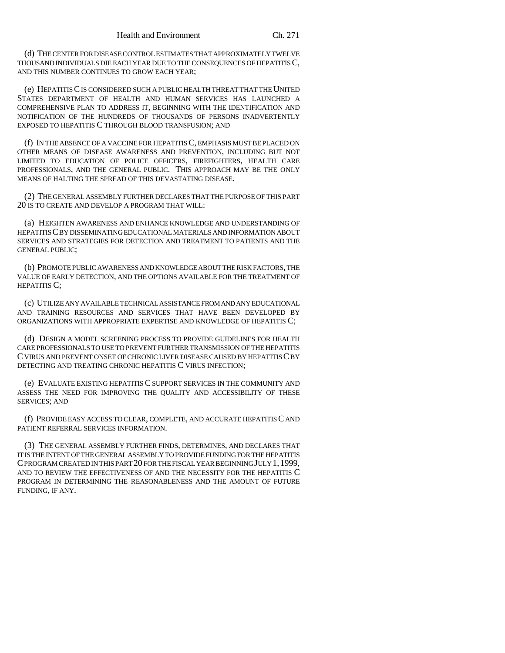(d) THE CENTER FOR DISEASE CONTROL ESTIMATES THAT APPROXIMATELY TWELVE THOUSAND INDIVIDUALS DIE EACH YEAR DUE TO THE CONSEQUENCES OF HEPATITIS C, AND THIS NUMBER CONTINUES TO GROW EACH YEAR;

(e) HEPATITIS C IS CONSIDERED SUCH A PUBLIC HEALTH THREAT THAT THE UNITED STATES DEPARTMENT OF HEALTH AND HUMAN SERVICES HAS LAUNCHED A COMPREHENSIVE PLAN TO ADDRESS IT, BEGINNING WITH THE IDENTIFICATION AND NOTIFICATION OF THE HUNDREDS OF THOUSANDS OF PERSONS INADVERTENTLY EXPOSED TO HEPATITIS C THROUGH BLOOD TRANSFUSION; AND

(f) IN THE ABSENCE OF A VACCINE FOR HEPATITIS C, EMPHASIS MUST BE PLACED ON OTHER MEANS OF DISEASE AWARENESS AND PREVENTION, INCLUDING BUT NOT LIMITED TO EDUCATION OF POLICE OFFICERS, FIREFIGHTERS, HEALTH CARE PROFESSIONALS, AND THE GENERAL PUBLIC. THIS APPROACH MAY BE THE ONLY MEANS OF HALTING THE SPREAD OF THIS DEVASTATING DISEASE.

(2) THE GENERAL ASSEMBLY FURTHER DECLARES THAT THE PURPOSE OF THIS PART 20 IS TO CREATE AND DEVELOP A PROGRAM THAT WILL:

(a) HEIGHTEN AWARENESS AND ENHANCE KNOWLEDGE AND UNDERSTANDING OF HEPATITIS C BY DISSEMINATING EDUCATIONAL MATERIALS AND INFORMATION ABOUT SERVICES AND STRATEGIES FOR DETECTION AND TREATMENT TO PATIENTS AND THE GENERAL PUBLIC;

(b) PROMOTE PUBLIC AWARENESS AND KNOWLEDGE ABOUT THE RISK FACTORS, THE VALUE OF EARLY DETECTION, AND THE OPTIONS AVAILABLE FOR THE TREATMENT OF HEPATITIS C:

(c) UTILIZE ANY AVAILABLE TECHNICAL ASSISTANCE FROM AND ANY EDUCATIONAL AND TRAINING RESOURCES AND SERVICES THAT HAVE BEEN DEVELOPED BY ORGANIZATIONS WITH APPROPRIATE EXPERTISE AND KNOWLEDGE OF HEPATITIS C;

(d) DESIGN A MODEL SCREENING PROCESS TO PROVIDE GUIDELINES FOR HEALTH CARE PROFESSIONALS TO USE TO PREVENT FURTHER TRANSMISSION OF THE HEPATITIS C VIRUS AND PREVENT ONSET OF CHRONIC LIVER DISEASE CAUSED BY HEPATITIS C BY DETECTING AND TREATING CHRONIC HEPATITIS C VIRUS INFECTION;

(e) EVALUATE EXISTING HEPATITIS C SUPPORT SERVICES IN THE COMMUNITY AND ASSESS THE NEED FOR IMPROVING THE QUALITY AND ACCESSIBILITY OF THESE SERVICES; AND

(f) PROVIDE EASY ACCESS TO CLEAR, COMPLETE, AND ACCURATE HEPATITIS C AND PATIENT REFERRAL SERVICES INFORMATION.

(3) THE GENERAL ASSEMBLY FURTHER FINDS, DETERMINES, AND DECLARES THAT IT IS THE INTENT OF THE GENERAL ASSEMBLY TO PROVIDE FUNDING FOR THE HEPATITIS C PROGRAM CREATED IN THIS PART 20 FOR THE FISCAL YEAR BEGINNING JULY 1,1999, AND TO REVIEW THE EFFECTIVENESS OF AND THE NECESSITY FOR THE HEPATITIS C PROGRAM IN DETERMINING THE REASONABLENESS AND THE AMOUNT OF FUTURE FUNDING, IF ANY.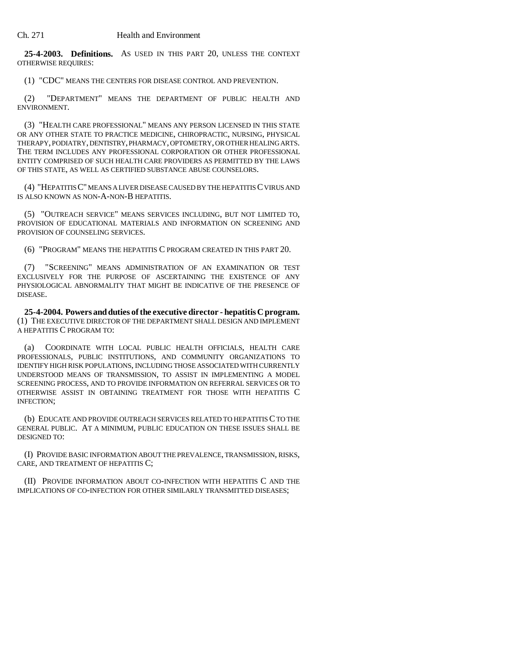**25-4-2003. Definitions.** AS USED IN THIS PART 20, UNLESS THE CONTEXT OTHERWISE REQUIRES:

(1) "CDC" MEANS THE CENTERS FOR DISEASE CONTROL AND PREVENTION.

(2) "DEPARTMENT" MEANS THE DEPARTMENT OF PUBLIC HEALTH AND ENVIRONMENT.

(3) "HEALTH CARE PROFESSIONAL" MEANS ANY PERSON LICENSED IN THIS STATE OR ANY OTHER STATE TO PRACTICE MEDICINE, CHIROPRACTIC, NURSING, PHYSICAL THERAPY, PODIATRY, DENTISTRY, PHARMACY, OPTOMETRY, OR OTHER HEALING ARTS. THE TERM INCLUDES ANY PROFESSIONAL CORPORATION OR OTHER PROFESSIONAL ENTITY COMPRISED OF SUCH HEALTH CARE PROVIDERS AS PERMITTED BY THE LAWS OF THIS STATE, AS WELL AS CERTIFIED SUBSTANCE ABUSE COUNSELORS.

(4) "HEPATITIS C" MEANS A LIVER DISEASE CAUSED BY THE HEPATITIS C VIRUS AND IS ALSO KNOWN AS NON-A-NON-B HEPATITIS.

(5) "OUTREACH SERVICE" MEANS SERVICES INCLUDING, BUT NOT LIMITED TO, PROVISION OF EDUCATIONAL MATERIALS AND INFORMATION ON SCREENING AND PROVISION OF COUNSELING SERVICES.

(6) "PROGRAM" MEANS THE HEPATITIS C PROGRAM CREATED IN THIS PART 20.

(7) "SCREENING" MEANS ADMINISTRATION OF AN EXAMINATION OR TEST EXCLUSIVELY FOR THE PURPOSE OF ASCERTAINING THE EXISTENCE OF ANY PHYSIOLOGICAL ABNORMALITY THAT MIGHT BE INDICATIVE OF THE PRESENCE OF DISEASE.

**25-4-2004. Powers and duties of the executive director - hepatitis C program.** (1) THE EXECUTIVE DIRECTOR OF THE DEPARTMENT SHALL DESIGN AND IMPLEMENT A HEPATITIS C PROGRAM TO:

(a) COORDINATE WITH LOCAL PUBLIC HEALTH OFFICIALS, HEALTH CARE PROFESSIONALS, PUBLIC INSTITUTIONS, AND COMMUNITY ORGANIZATIONS TO IDENTIFY HIGH RISK POPULATIONS, INCLUDING THOSE ASSOCIATED WITH CURRENTLY UNDERSTOOD MEANS OF TRANSMISSION, TO ASSIST IN IMPLEMENTING A MODEL SCREENING PROCESS, AND TO PROVIDE INFORMATION ON REFERRAL SERVICES OR TO OTHERWISE ASSIST IN OBTAINING TREATMENT FOR THOSE WITH HEPATITIS C INFECTION;

(b) EDUCATE AND PROVIDE OUTREACH SERVICES RELATED TO HEPATITIS C TO THE GENERAL PUBLIC. AT A MINIMUM, PUBLIC EDUCATION ON THESE ISSUES SHALL BE DESIGNED TO:

(I) PROVIDE BASIC INFORMATION ABOUT THE PREVALENCE, TRANSMISSION, RISKS, CARE, AND TREATMENT OF HEPATITIS C;

(II) PROVIDE INFORMATION ABOUT CO-INFECTION WITH HEPATITIS C AND THE IMPLICATIONS OF CO-INFECTION FOR OTHER SIMILARLY TRANSMITTED DISEASES;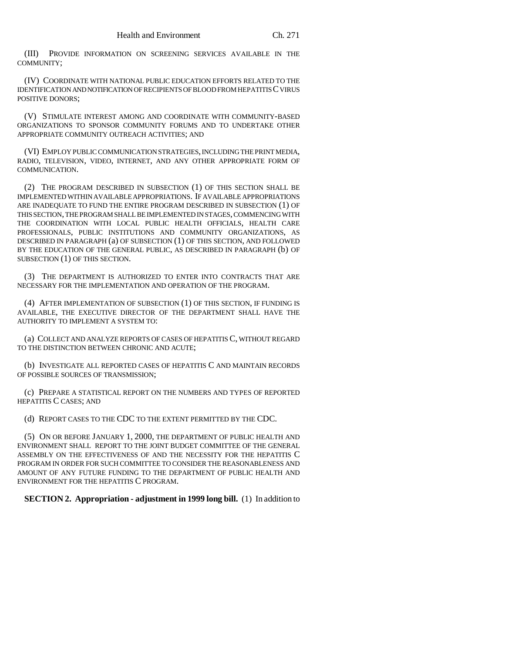(III) PROVIDE INFORMATION ON SCREENING SERVICES AVAILABLE IN THE COMMUNITY;

(IV) COORDINATE WITH NATIONAL PUBLIC EDUCATION EFFORTS RELATED TO THE IDENTIFICATION AND NOTIFICATION OF RECIPIENTS OF BLOOD FROM HEPATITIS C VIRUS POSITIVE DONORS;

(V) STIMULATE INTEREST AMONG AND COORDINATE WITH COMMUNITY-BASED ORGANIZATIONS TO SPONSOR COMMUNITY FORUMS AND TO UNDERTAKE OTHER APPROPRIATE COMMUNITY OUTREACH ACTIVITIES; AND

(VI) EMPLOY PUBLIC COMMUNICATION STRATEGIES, INCLUDING THE PRINT MEDIA, RADIO, TELEVISION, VIDEO, INTERNET, AND ANY OTHER APPROPRIATE FORM OF COMMUNICATION.

(2) THE PROGRAM DESCRIBED IN SUBSECTION (1) OF THIS SECTION SHALL BE IMPLEMENTED WITHIN AVAILABLE APPROPRIATIONS. IF AVAILABLE APPROPRIATIONS ARE INADEQUATE TO FUND THE ENTIRE PROGRAM DESCRIBED IN SUBSECTION (1) OF THIS SECTION, THE PROGRAM SHALL BE IMPLEMENTED IN STAGES, COMMENCING WITH THE COORDINATION WITH LOCAL PUBLIC HEALTH OFFICIALS, HEALTH CARE PROFESSIONALS, PUBLIC INSTITUTIONS AND COMMUNITY ORGANIZATIONS, AS DESCRIBED IN PARAGRAPH (a) OF SUBSECTION (1) OF THIS SECTION, AND FOLLOWED BY THE EDUCATION OF THE GENERAL PUBLIC, AS DESCRIBED IN PARAGRAPH (b) OF SUBSECTION (1) OF THIS SECTION.

(3) THE DEPARTMENT IS AUTHORIZED TO ENTER INTO CONTRACTS THAT ARE NECESSARY FOR THE IMPLEMENTATION AND OPERATION OF THE PROGRAM.

(4) AFTER IMPLEMENTATION OF SUBSECTION (1) OF THIS SECTION, IF FUNDING IS AVAILABLE, THE EXECUTIVE DIRECTOR OF THE DEPARTMENT SHALL HAVE THE AUTHORITY TO IMPLEMENT A SYSTEM TO:

(a) COLLECT AND ANALYZE REPORTS OF CASES OF HEPATITIS C, WITHOUT REGARD TO THE DISTINCTION BETWEEN CHRONIC AND ACUTE;

(b) INVESTIGATE ALL REPORTED CASES OF HEPATITIS C AND MAINTAIN RECORDS OF POSSIBLE SOURCES OF TRANSMISSION;

(c) PREPARE A STATISTICAL REPORT ON THE NUMBERS AND TYPES OF REPORTED HEPATITIS C CASES; AND

(d) REPORT CASES TO THE CDC TO THE EXTENT PERMITTED BY THE CDC.

(5) ON OR BEFORE JANUARY 1, 2000, THE DEPARTMENT OF PUBLIC HEALTH AND ENVIRONMENT SHALL REPORT TO THE JOINT BUDGET COMMITTEE OF THE GENERAL ASSEMBLY ON THE EFFECTIVENESS OF AND THE NECESSITY FOR THE HEPATITIS C PROGRAM IN ORDER FOR SUCH COMMITTEE TO CONSIDER THE REASONABLENESS AND AMOUNT OF ANY FUTURE FUNDING TO THE DEPARTMENT OF PUBLIC HEALTH AND ENVIRONMENT FOR THE HEPATITIS C PROGRAM.

**SECTION 2. Appropriation - adjustment in 1999 long bill.** (1) In addition to